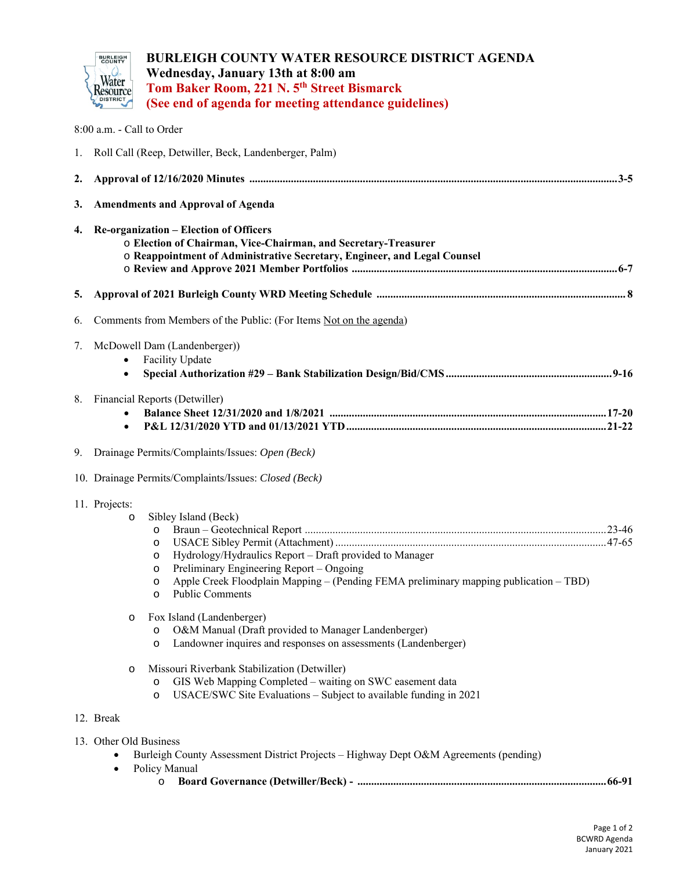

**BURLEIGH COUNTY WATER RESOURCE DISTRICT AGENDA Wednesday, January 13th at 8:00 am Tom Baker Room, 221 N. 5th Street Bismarck (See end of agenda for meeting attendance guidelines)**

|    | 8:00 a.m. - Call to Order                                                                                                                                                                                                                                                                                      |
|----|----------------------------------------------------------------------------------------------------------------------------------------------------------------------------------------------------------------------------------------------------------------------------------------------------------------|
| 1. | Roll Call (Reep, Detwiller, Beck, Landenberger, Palm)                                                                                                                                                                                                                                                          |
| 2. |                                                                                                                                                                                                                                                                                                                |
| 3. | <b>Amendments and Approval of Agenda</b>                                                                                                                                                                                                                                                                       |
| 4. | <b>Re-organization – Election of Officers</b><br>o Election of Chairman, Vice-Chairman, and Secretary-Treasurer<br>o Reappointment of Administrative Secretary, Engineer, and Legal Counsel                                                                                                                    |
| 5. |                                                                                                                                                                                                                                                                                                                |
| 6. | Comments from Members of the Public: (For Items Not on the agenda)                                                                                                                                                                                                                                             |
| 7. | McDowell Dam (Landenberger))<br><b>Facility Update</b><br>$\bullet$                                                                                                                                                                                                                                            |
| 8. | Financial Reports (Detwiller)<br>$\bullet$                                                                                                                                                                                                                                                                     |
|    | 9. Drainage Permits/Complaints/Issues: Open (Beck)                                                                                                                                                                                                                                                             |
|    | 10. Drainage Permits/Complaints/Issues: Closed (Beck)                                                                                                                                                                                                                                                          |
|    | 11. Projects:<br>Sibley Island (Beck)<br>$\circ$<br>O<br>O<br>Hydrology/Hydraulics Report - Draft provided to Manager<br>O<br>Preliminary Engineering Report - Ongoing<br>O<br>Apple Creek Floodplain Mapping – (Pending FEMA preliminary mapping publication – TBD)<br>O<br><b>Public Comments</b><br>$\circ$ |
|    | Fox Island (Landenberger)<br>O&M Manual (Draft provided to Manager Landenberger)<br>O<br>Landowner inquires and responses on assessments (Landenberger)<br>$\circ$                                                                                                                                             |
|    | Missouri Riverbank Stabilization (Detwiller)<br>$\circ$<br>GIS Web Mapping Completed - waiting on SWC easement data<br>$\circ$<br>USACE/SWC Site Evaluations – Subject to available funding in 2021<br>$\circ$                                                                                                 |
|    | 12. Break                                                                                                                                                                                                                                                                                                      |
|    | 13. Other Old Business<br>Burleigh County Assessment District Projects - Highway Dept O&M Agreements (pending)                                                                                                                                                                                                 |

- Policy Manual
	- o **Board Governance (Detwiller/Beck) .......................................................................................... 66-91**